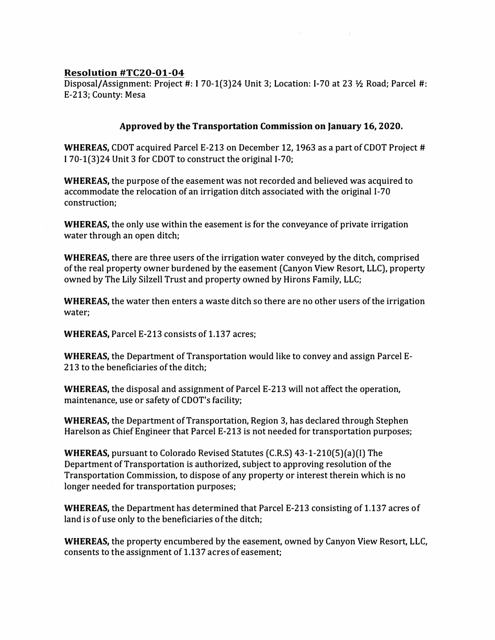## **Resolution #TC20-01-04**

Disposal/Assignment: Project#: **l** 70-1(3)24 Unit 3; Location: 1-70 at 23 ¥z Road; Parcel#: E-213; County: Mesa

## **Approved by the Transportation Commission on January 16, 2020.**

**WHEREAS, CDOT** acquired Parcel E-213 on December 12, 1963 as a part of CDOT Project # I 70-1(3)24 Unit 3 for COOT to construct the original 1-70;

**WHEREAS,** the purpose of the easement was not recorded and believed was acquired to accommodate the relocation of an irrigation ditch associated with the original 1-70 construction;

**WHEREAS,** the only use within the easement is for the conveyance of private irrigation water through an open ditch;

**WHEREAS,** there are three users of the irrigation water conveyed by the ditch, comprised of the real property owner burdened by the easement (Canyon View Resort, LLC), property owned by The Lily Silzell Trust and property owned by Hirons Family, LLC;

**WHEREAS,** the water then enters a waste ditch so there are no other users of the irrigation water;

**WHEREAS,** Parcel E-213 consists of 1.137 acres;

**WHEREAS,** the Department of Transportation would like to convey and assign Parcel E-213 to the beneficiaries of the ditch;

**WHEREAS,** the disposal and assignment of Parcel E-213 will not affect the operation, maintenance, use or safety of CDOT's facility;

**WHEREAS,** the Department of Transportation, Region 3, has declared through Stephen Harelson as Chief Engineer that Parcel E-213 is not needed for transportation purposes;

**WHEREAS,** pursuant to Colorado Revised Statutes (C.R.S) 43-1-210(5)(a)(I) The Department of Transportation is authorized, subject to approving resolution of the Transportation Commission, to dispose of any property or interest therein which is no longer needed for transportation purposes;

**WHEREAS,** the Department has determined that Parcel E-213 consisting of 1.137 acres of land is of use only to the beneficiaries of the ditch;

**WHEREAS,** the property encumbered by the easement, owned by Canyon View Resort, LLC, consents to the assignment of 1.137 acres of easement;